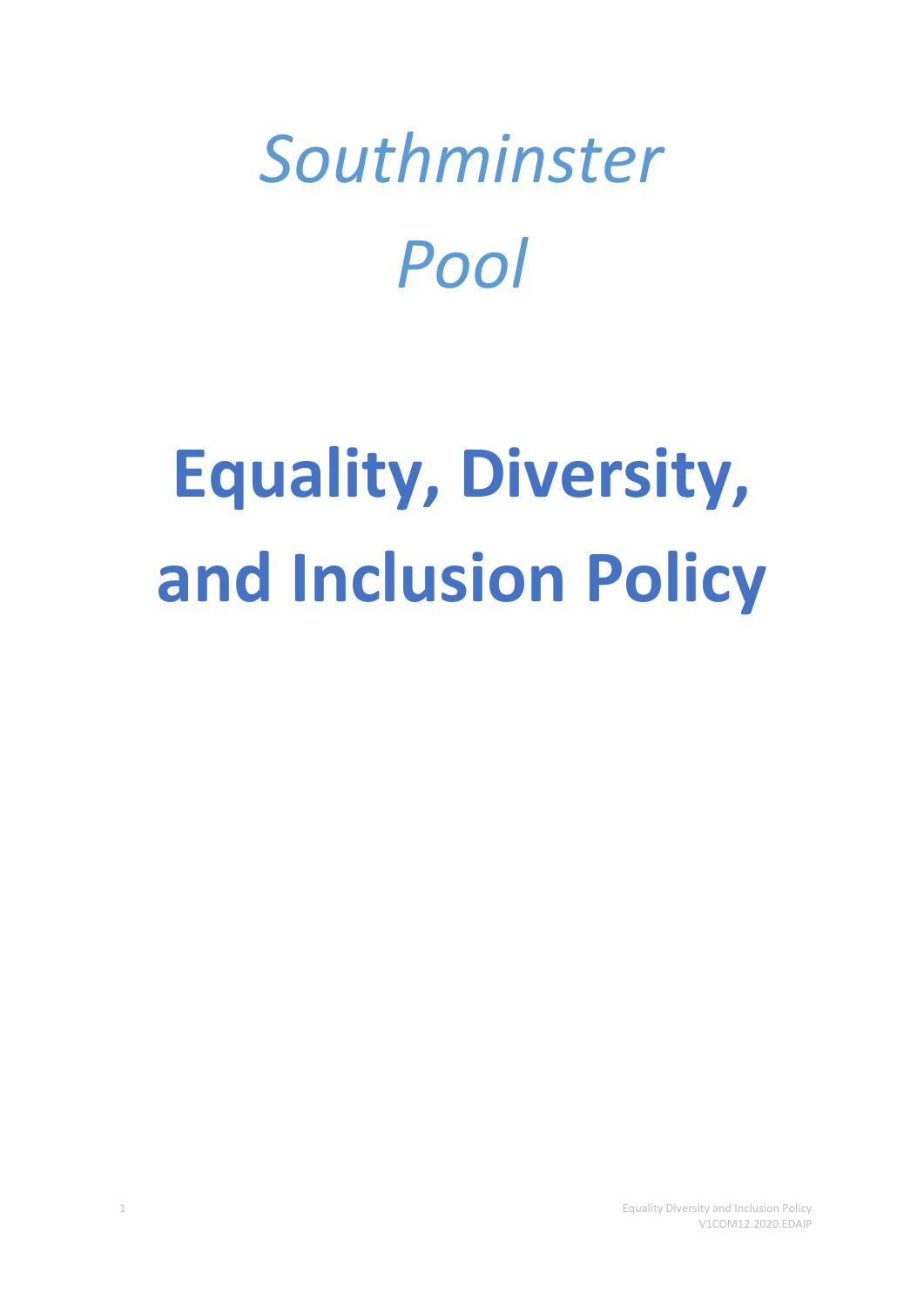## *Southminster Pool*

# **Equality, Diversity, and Inclusion Policy**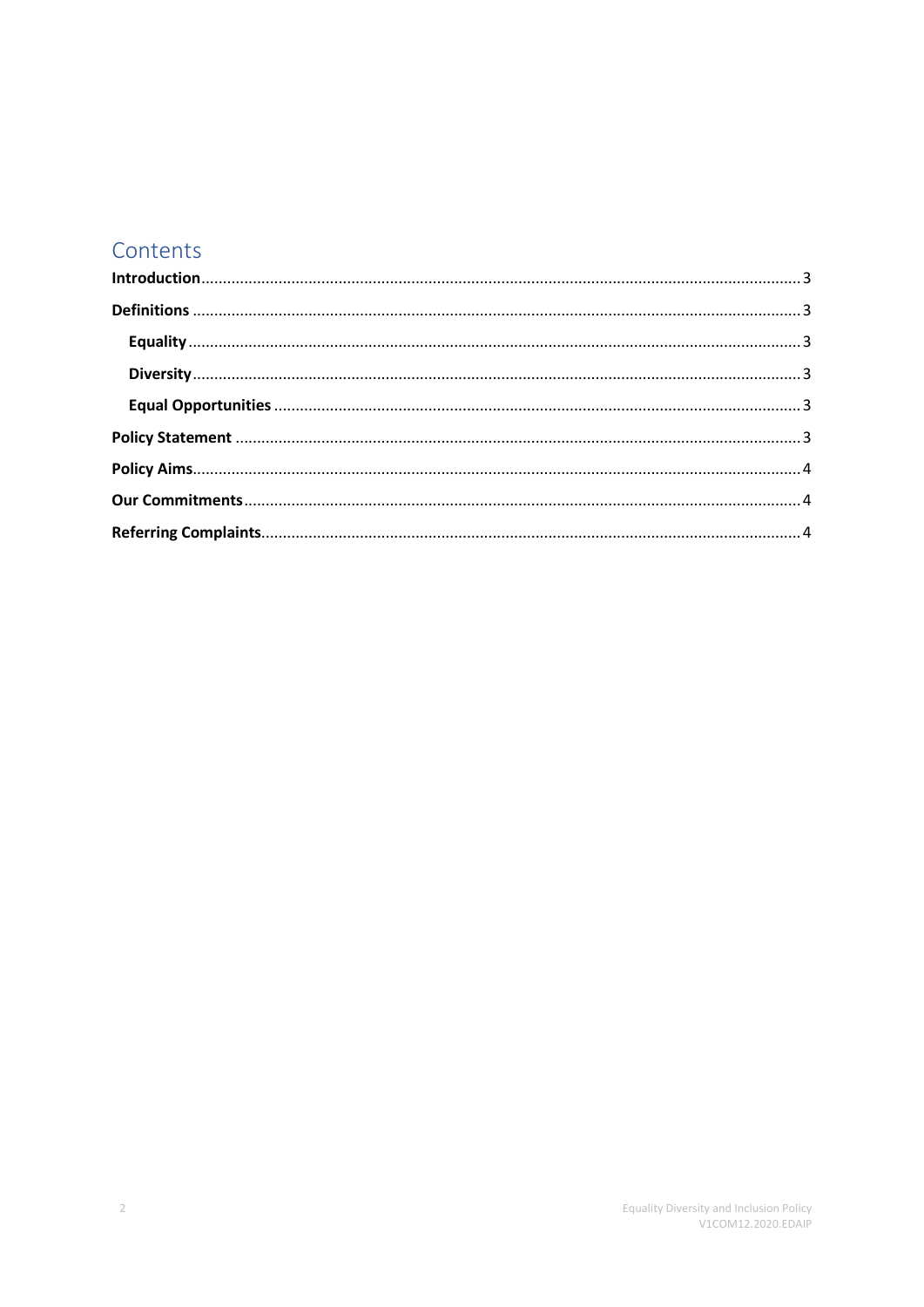## Contents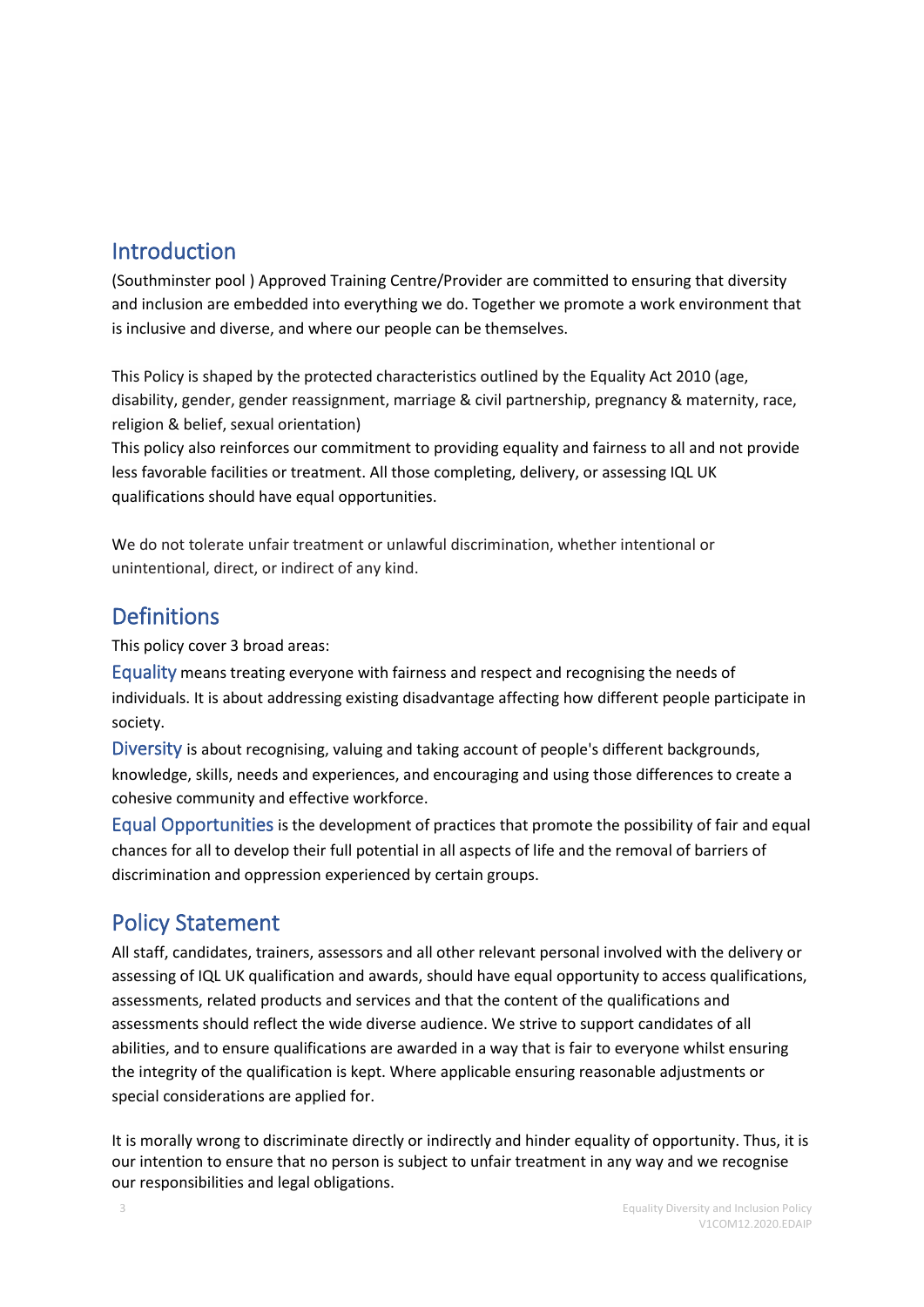### <span id="page-2-0"></span>Introduction

(Southminster pool ) Approved Training Centre/Provider are committed to ensuring that diversity and inclusion are embedded into everything we do. Together we promote a work environment that is inclusive and diverse, and where our people can be themselves.

This Policy is shaped by the protected characteristics outlined by the Equality Act 2010 (age, disability, gender, gender reassignment, marriage & civil partnership, pregnancy & maternity, race, religion & belief, sexual orientation)

This policy also reinforces our commitment to providing equality and fairness to all and not provide less favorable facilities or treatment. All those completing, delivery, or assessing IQL UK qualifications should have equal opportunities.

We do not tolerate unfair treatment or unlawful discrimination, whether intentional or unintentional, direct, or indirect of any kind.

#### <span id="page-2-1"></span>**Definitions**

This policy cover 3 broad areas:

<span id="page-2-2"></span>Equality means treating everyone with fairness and respect and recognising the needs of individuals. It is about addressing existing disadvantage affecting how different people participate in society.

<span id="page-2-3"></span>Diversity is about recognising, valuing and taking account of people's different backgrounds, knowledge, skills, needs and experiences, and encouraging and using those differences to create a cohesive community and effective workforce.

<span id="page-2-4"></span>Equal Opportunities is the development of practices that promote the possibility of fair and equal chances for all to develop their full potential in all aspects of life and the removal of barriers of discrimination and oppression experienced by certain groups.

## <span id="page-2-5"></span>Policy Statement

All staff, candidates, trainers, assessors and all other relevant personal involved with the delivery or assessing of IQL UK qualification and awards, should have equal opportunity to access qualifications, assessments, related products and services and that the content of the qualifications and assessments should reflect the wide diverse audience. We strive to support candidates of all abilities, and to ensure qualifications are awarded in a way that is fair to everyone whilst ensuring the integrity of the qualification is kept. Where applicable ensuring reasonable adjustments or special considerations are applied for.

It is morally wrong to discriminate directly or indirectly and hinder equality of opportunity. Thus, it is our intention to ensure that no person is subject to unfair treatment in any way and we recognise our responsibilities and legal obligations.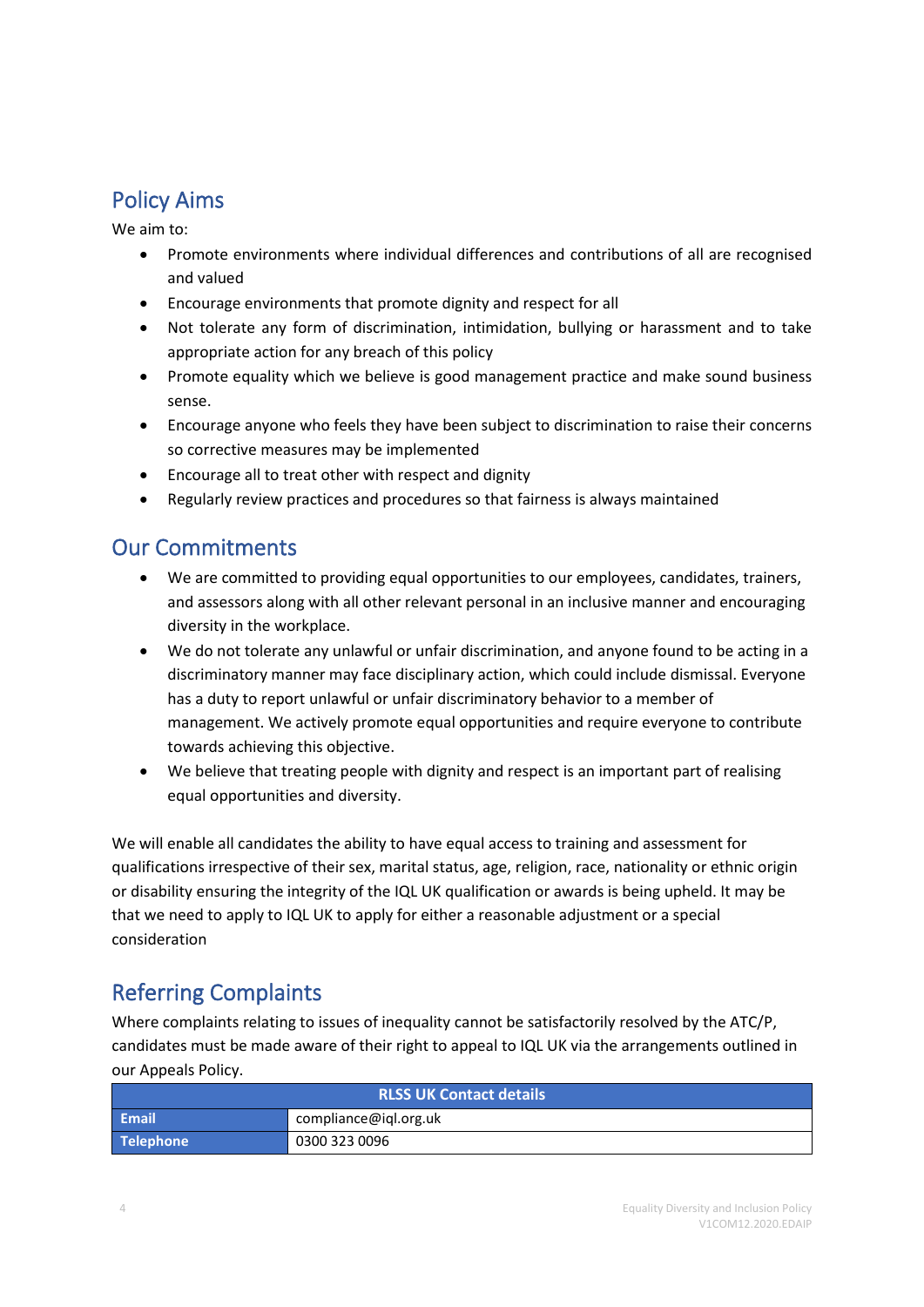## <span id="page-3-0"></span>Policy Aims

We aim to:

- Promote environments where individual differences and contributions of all are recognised and valued
- Encourage environments that promote dignity and respect for all
- Not tolerate any form of discrimination, intimidation, bullying or harassment and to take appropriate action for any breach of this policy
- Promote equality which we believe is good management practice and make sound business sense.
- Encourage anyone who feels they have been subject to discrimination to raise their concerns so corrective measures may be implemented
- Encourage all to treat other with respect and dignity
- Regularly review practices and procedures so that fairness is always maintained

#### <span id="page-3-1"></span>Our Commitments

- We are committed to providing equal opportunities to our employees, candidates, trainers, and assessors along with all other relevant personal in an inclusive manner and encouraging diversity in the workplace.
- We do not tolerate any unlawful or unfair discrimination, and anyone found to be acting in a discriminatory manner may face disciplinary action, which could include dismissal. Everyone has a duty to report unlawful or unfair discriminatory behavior to a member of management. We actively promote equal opportunities and require everyone to contribute towards achieving this objective.
- We believe that treating people with dignity and respect is an important part of realising equal opportunities and diversity.

We will enable all candidates the ability to have equal access to training and assessment for qualifications irrespective of their sex, marital status, age, religion, race, nationality or ethnic origin or disability ensuring the integrity of the IQL UK qualification or awards is being upheld. It may be that we need to apply to IQL UK to apply for either a reasonable adjustment or a special consideration

## <span id="page-3-2"></span>Referring Complaints

Where complaints relating to issues of inequality cannot be satisfactorily resolved by the ATC/P, candidates must be made aware of their right to appeal to IQL UK via the arrangements outlined in our Appeals Policy.

| <b>RLSS UK Contact details</b> |                       |  |
|--------------------------------|-----------------------|--|
| <b>Email</b>                   | compliance@igl.org.uk |  |
| Telephone                      | 0300 323 0096         |  |